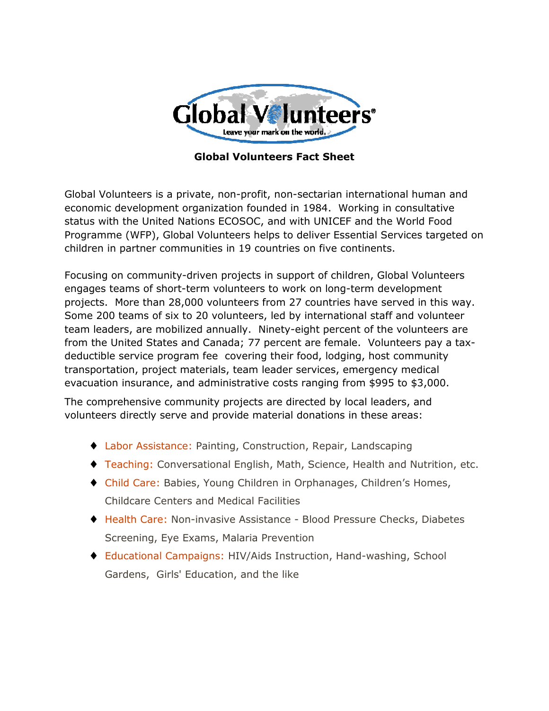

## **Global Volunteers Fact Sheet**

Global Volunteers is a private, non-profit, non-sectarian international human and economic development organization founded in 1984. Working in consultative status with the United Nations ECOSOC, and with UNICEF and the World Food Programme (WFP), Global Volunteers helps to deliver Essential Services targeted on children in partner communities in 19 countries on five continents.

Focusing on community-driven projects in support of children, Global Volunteers engages teams of short-term volunteers to work on long-term development projects. More than 28,000 volunteers from 27 countries have served in this way. Some 200 teams of six to 20 volunteers, led by international staff and volunteer team leaders, are mobilized annually. Ninety-eight percent of the volunteers are from the United States and Canada; 77 percent are female. Volunteers pay a taxdeductible service program fee covering their food, lodging, host community transportation, project materials, team leader services, emergency medical evacuation insurance, and administrative costs ranging from \$995 to \$3,000.

The comprehensive community projects are directed by local leaders, and volunteers directly serve and provide material donations in these areas:

- ♦ Labor Assistance: Painting, Construction, Repair, Landscaping
- ♦ Teaching: Conversational English, Math, Science, Health and Nutrition, etc.
- ♦ Child Care: Babies, Young Children in Orphanages, Children's Homes, Childcare Centers and Medical Facilities
- ♦ Health Care: Non-invasive Assistance Blood Pressure Checks, Diabetes Screening, Eye Exams, Malaria Prevention
- ♦ Educational Campaigns: HIV/Aids Instruction, Hand-washing, School Gardens, Girls' Education, and the like